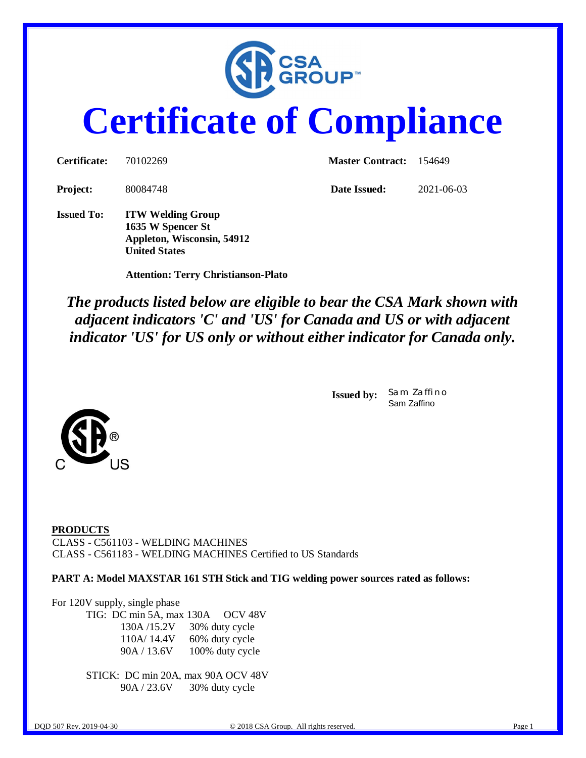

# **Certificate of Compliance**

| <b>Certificate:</b> | 70102269                                      | <b>Master Contract:</b> 154649 |            |  |
|---------------------|-----------------------------------------------|--------------------------------|------------|--|
| Project:            | 80084748                                      | Date Issued:                   | 2021-06-03 |  |
| <b>Issued To:</b>   | <b>ITW Welding Group</b><br>1635 W Spencer St |                                |            |  |

 **Attention: Terry Christianson-Plato**

**Appleton, Wisconsin, 54912**

**United States**

*The products listed below are eligible to bear the CSA Mark shown with adjacent indicators 'C' and 'US' for Canada and US or with adjacent indicator 'US' for US only or without either indicator for Canada only.*

> **Issued by:** *Sam Zaffino* Sam Zaffino



**PART A: Model MAXSTAR 161 STH Stick and TIG welding power sources rated as follows:**

For 120V supply, single phase TIG: DC min 5A, max 130A OCV 48V 130A /15.2V 30% duty cycle 110A/ 14.4V 60% duty cycle 90A / 13.6V 100% duty cycle

> STICK: DC min 20A, max 90A OCV 48V 90A / 23.6V 30% duty cycle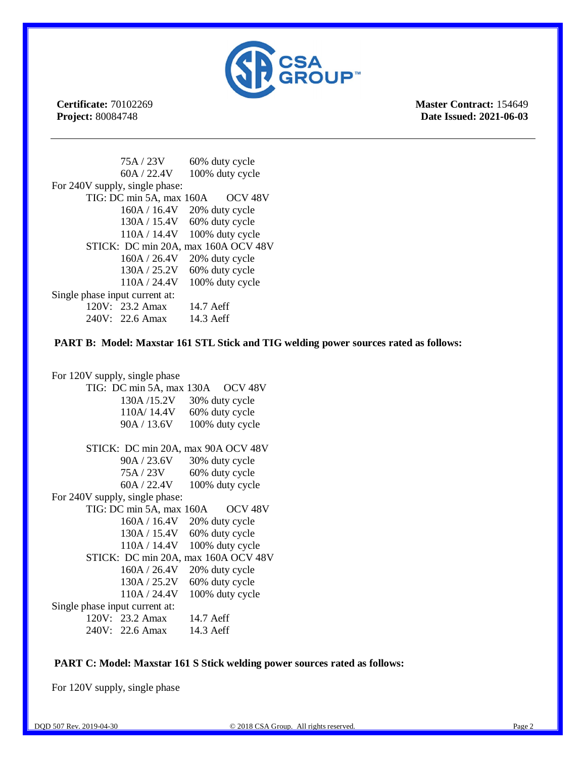

**Certificate:** 70102269 **Project:** 80084748

**Master Contract:** 154649 **Date Issued: 2021-06-03**

|                                     | 75A / 23V                      | 60% duty cycle     |  |  |  |
|-------------------------------------|--------------------------------|--------------------|--|--|--|
|                                     | 60A / 22.4V                    | 100% duty cycle    |  |  |  |
|                                     | For 240V supply, single phase: |                    |  |  |  |
|                                     | TIG: DC min 5A, max 160A       | OCV <sub>48V</sub> |  |  |  |
|                                     | 160A / 16.4V                   | 20% duty cycle     |  |  |  |
|                                     | 130A / 15.4V                   | 60% duty cycle     |  |  |  |
|                                     | 110A / 14.4V                   | 100% duty cycle    |  |  |  |
| STICK: DC min 20A, max 160A OCV 48V |                                |                    |  |  |  |
|                                     | 160A / 26.4V                   | 20% duty cycle     |  |  |  |
|                                     | 130A / 25.2V                   | 60% duty cycle     |  |  |  |
|                                     | 110A / 24.4V                   | 100% duty cycle    |  |  |  |
| Single phase input current at:      |                                |                    |  |  |  |
|                                     | $120V: 23.2$ Amax              | 14.7 Aeff          |  |  |  |
|                                     | 240V: 22.6 Amax                | 14.3 Aeff          |  |  |  |

 **PART B: Model: Maxstar 161 STL Stick and TIG welding power sources rated as follows:**

For 120V supply, single phase TIG: DC min 5A, max 130A OCV 48V 130A /15.2V 30% duty cycle 110A/ 14.4V 60% duty cycle 90A / 13.6V 100% duty cycle STICK: DC min 20A, max 90A OCV 48V 90A / 23.6V 30% duty cycle 75A / 23V 60% duty cycle 60A / 22.4V 100% duty cycle For 240V supply, single phase: TIG: DC min 5A, max 160A OCV 48V 160A / 16.4V 20% duty cycle 130A / 15.4V 60% duty cycle 110A / 14.4V 100% duty cycle STICK: DC min 20A, max 160A OCV 48V 160A / 26.4V 20% duty cycle 130A / 25.2V 60% duty cycle 110A / 24.4V 100% duty cycle Single phase input current at: 120V: 23.2 Amax 14.7 Aeff 240V: 22.6 Amax 14.3 Aeff

#### **PART C: Model: Maxstar 161 S Stick welding power sources rated as follows:**

For 120V supply, single phase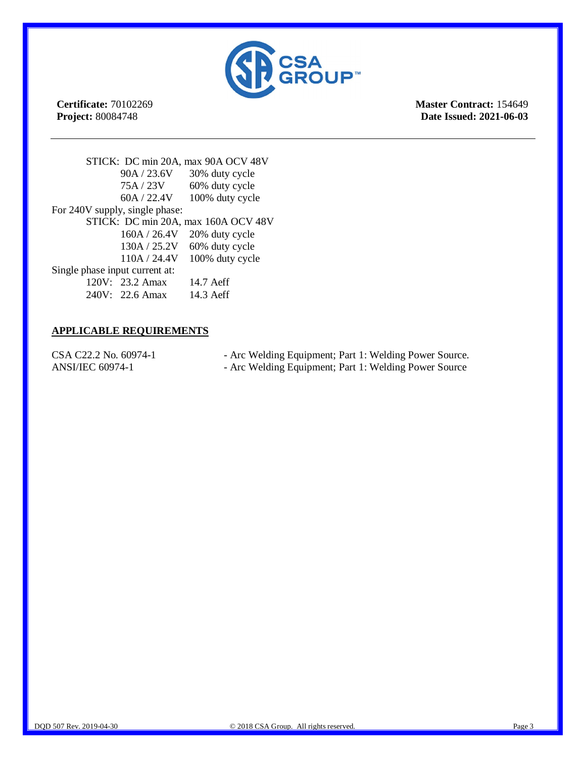

**Certificate:** 70102269 **Project:** 80084748

**Master Contract:** 154649 **Date Issued: 2021-06-03**

STICK: DC min 20A, max 90A OCV 48V 90A / 23.6V 30% duty cycle 75A / 23V 60% duty cycle 60A / 22.4V 100% duty cycle For 240V supply, single phase: STICK: DC min 20A, max 160A OCV 48V 160A / 26.4V 20% duty cycle 130A / 25.2V 60% duty cycle 110A / 24.4V 100% duty cycle Single phase input current at: 120V: 23.2 Amax 14.7 Aeff 240V: 22.6 Amax 14.3 Aeff

### **APPLICABLE REQUIREMENTS**

CSA C22.2 No. 60974-1 - Arc Welding Equipment; Part 1: Welding Power Source. ANSI/IEC 60974-1 - Arc Welding Equipment; Part 1: Welding Power Source